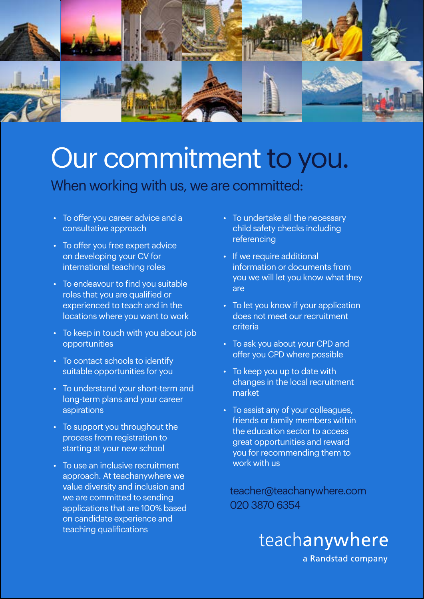

## Our commitment to you.

## When working with us, we are committed:

- To offer you career advice and a consultative approach
- To offer you free expert advice on developing your CV for international teaching roles
- To endeavour to find you suitable roles that you are qualified or experienced to teach and in the locations where you want to work
- To keep in touch with you about job opportunities
- To contact schools to identify suitable opportunities for you
- To understand your short-term and long-term plans and your career aspirations
- To support you throughout the process from registration to starting at your new school
- To use an inclusive recruitment approach. At teachanywhere we value diversity and inclusion and we are committed to sending applications that are 100% based on candidate experience and teaching qualifications
- To undertake all the necessary child safety checks including referencing
- If we require additional information or documents from you we will let you know what they are
- To let you know if your application does not meet our recruitment criteria
- To ask you about your CPD and offer you CPD where possible
- To keep you up to date with changes in the local recruitment market
- To assist any of your colleagues, friends or family members within the education sector to access great opportunities and reward you for recommending them to work with us

teacher@teachanywhere.com 020 3870 6354

> teachanywhere a Randstad company